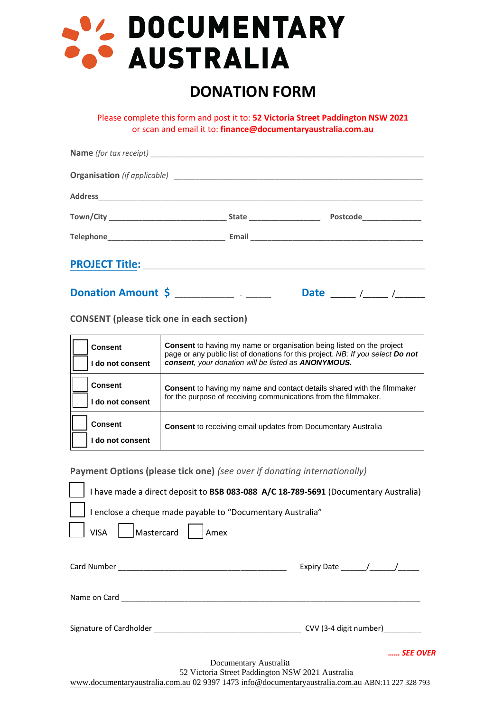# SI DOCUMENTARY

# **DONATION FORM**

Please complete this form and post it to: **52 Victoria Street Paddington NSW 2021** or scan and email it to: **finance@documentaryaustralia.com.au**

|  | Postcode Postcode         |  |
|--|---------------------------|--|
|  |                           |  |
|  |                           |  |
|  | Date _____ /_____ /______ |  |

**CONSENT (please tick one in each section)**

| <b>Consent</b><br>I do not consent | <b>Consent</b> to having my name or organisation being listed on the project<br>page or any public list of donations for this project. NB: If you select Do not<br>consent, your donation will be listed as ANONYMOUS. |
|------------------------------------|------------------------------------------------------------------------------------------------------------------------------------------------------------------------------------------------------------------------|
| <b>Consent</b><br>do not consent   | <b>Consent</b> to having my name and contact details shared with the filmmaker<br>for the purpose of receiving communications from the filmmaker.                                                                      |
| <b>Consent</b><br>do not consent   | <b>Consent</b> to receiving email updates from Documentary Australia                                                                                                                                                   |

**Payment Options (please tick one)** *(see over if donating internationally)*

| I have made a direct deposit to BSB 083-088 A/C 18-789-5691 (Documentary Australia)                                                                  |                                  |
|------------------------------------------------------------------------------------------------------------------------------------------------------|----------------------------------|
| I enclose a cheque made payable to "Documentary Australia"                                                                                           |                                  |
| Mastercard<br><b>VISA</b><br>  Amex                                                                                                                  |                                  |
|                                                                                                                                                      |                                  |
|                                                                                                                                                      | Expiry Date $\frac{1}{\sqrt{2}}$ |
|                                                                                                                                                      |                                  |
| Signature of Cardholder and the control of CVV (3-4 digit number)                                                                                    |                                  |
|                                                                                                                                                      | SEE OVER                         |
| Documentary Australia                                                                                                                                |                                  |
| 52 Victoria Street Paddington NSW 2021 Australia<br>www.documentaryaustralia.com.au 02 9397 1473 info@documentaryaustralia.com.au ABN:11 227 328 793 |                                  |